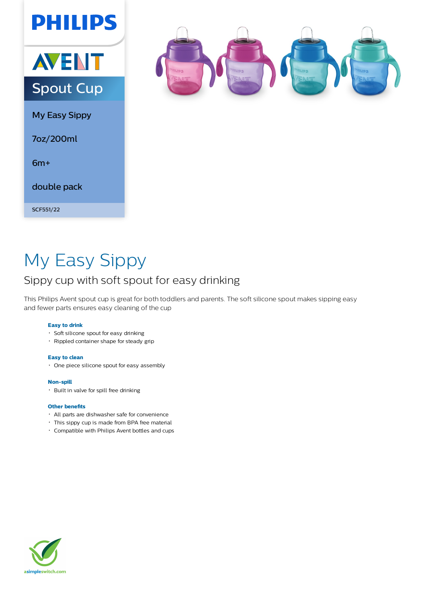



My Easy Sippy

7oz/200ml

6m+

double pack

SCF551/22



# My Easy Sippy

## Sippy cup with soft spout for easy drinking

This Philips Avent spout cup is great for both toddlers and parents. The soft silicone spout makes sipping easy and fewer parts ensures easy cleaning of the cup

### **Easy to drink**

- Soft silicone spout for easy drinking
- Rippled container shape for steady grip

#### **Easy to clean**

One piece silicone spout for easy assembly

#### **Non-spill**

Built in valve for spill free drinking

#### **Other benefits**

- All parts are dishwasher safe for convenience
- This sippy cup is made from BPA free material
- Compatible with Philips Avent bottles and cups